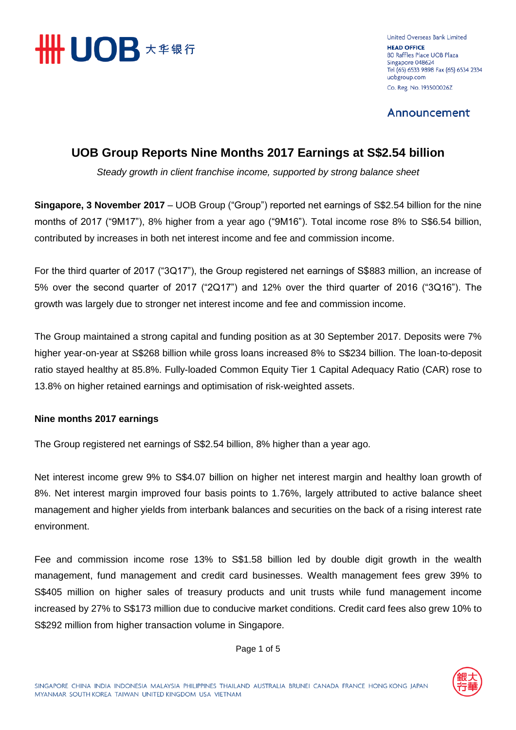

United Overseas Bank Limited **HEAD OFFICE** 80 Raffles Place UOB Plaza Singapore 048624 Tel (65) 6533 9898 Fax (65) 6534 2334 uobgroup.com Co. Reg. No. 193500026Z

Announcement

## **UOB Group Reports Nine Months 2017 Earnings at S\$2.54 billion**

*Steady growth in client franchise income, supported by strong balance sheet*

**Singapore, 3 November 2017** – UOB Group ("Group") reported net earnings of S\$2.54 billion for the nine months of 2017 ("9M17"), 8% higher from a year ago ("9M16"). Total income rose 8% to S\$6.54 billion, contributed by increases in both net interest income and fee and commission income.

For the third quarter of 2017 ("3Q17"), the Group registered net earnings of S\$883 million, an increase of 5% over the second quarter of 2017 ("2Q17") and 12% over the third quarter of 2016 ("3Q16"). The growth was largely due to stronger net interest income and fee and commission income.

The Group maintained a strong capital and funding position as at 30 September 2017. Deposits were 7% higher year-on-year at S\$268 billion while gross loans increased 8% to S\$234 billion. The loan-to-deposit ratio stayed healthy at 85.8%. Fully-loaded Common Equity Tier 1 Capital Adequacy Ratio (CAR) rose to 13.8% on higher retained earnings and optimisation of risk-weighted assets.

#### **Nine months 2017 earnings**

The Group registered net earnings of S\$2.54 billion, 8% higher than a year ago.

Net interest income grew 9% to S\$4.07 billion on higher net interest margin and healthy loan growth of 8%. Net interest margin improved four basis points to 1.76%, largely attributed to active balance sheet management and higher yields from interbank balances and securities on the back of a rising interest rate environment.

Fee and commission income rose 13% to S\$1.58 billion led by double digit growth in the wealth management, fund management and credit card businesses. Wealth management fees grew 39% to S\$405 million on higher sales of treasury products and unit trusts while fund management income increased by 27% to S\$173 million due to conducive market conditions. Credit card fees also grew 10% to S\$292 million from higher transaction volume in Singapore.



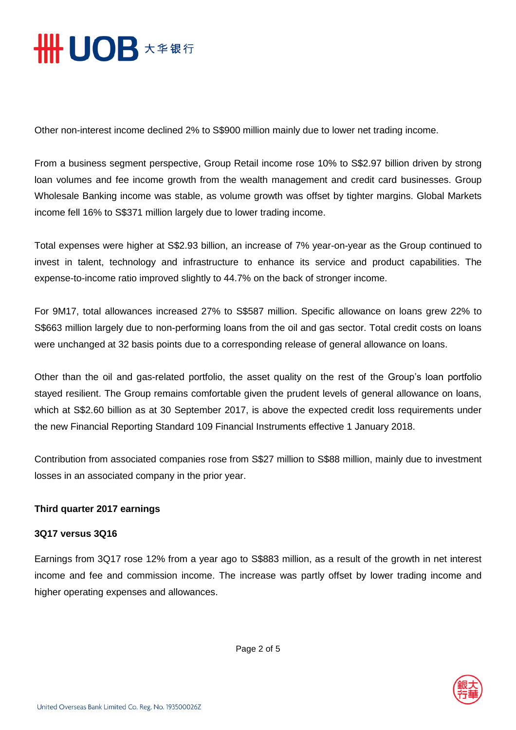

Other non-interest income declined 2% to S\$900 million mainly due to lower net trading income.

From a business segment perspective, Group Retail income rose 10% to S\$2.97 billion driven by strong loan volumes and fee income growth from the wealth management and credit card businesses. Group Wholesale Banking income was stable, as volume growth was offset by tighter margins. Global Markets income fell 16% to S\$371 million largely due to lower trading income.

Total expenses were higher at S\$2.93 billion, an increase of 7% year-on-year as the Group continued to invest in talent, technology and infrastructure to enhance its service and product capabilities. The expense-to-income ratio improved slightly to 44.7% on the back of stronger income.

For 9M17, total allowances increased 27% to S\$587 million. Specific allowance on loans grew 22% to S\$663 million largely due to non-performing loans from the oil and gas sector. Total credit costs on loans were unchanged at 32 basis points due to a corresponding release of general allowance on loans.

Other than the oil and gas-related portfolio, the asset quality on the rest of the Group's loan portfolio stayed resilient. The Group remains comfortable given the prudent levels of general allowance on loans, which at S\$2.60 billion as at 30 September 2017, is above the expected credit loss requirements under the new Financial Reporting Standard 109 Financial Instruments effective 1 January 2018.

Contribution from associated companies rose from S\$27 million to S\$88 million, mainly due to investment losses in an associated company in the prior year.

### **Third quarter 2017 earnings**

#### **3Q17 versus 3Q16**

Earnings from 3Q17 rose 12% from a year ago to S\$883 million, as a result of the growth in net interest income and fee and commission income. The increase was partly offset by lower trading income and higher operating expenses and allowances.



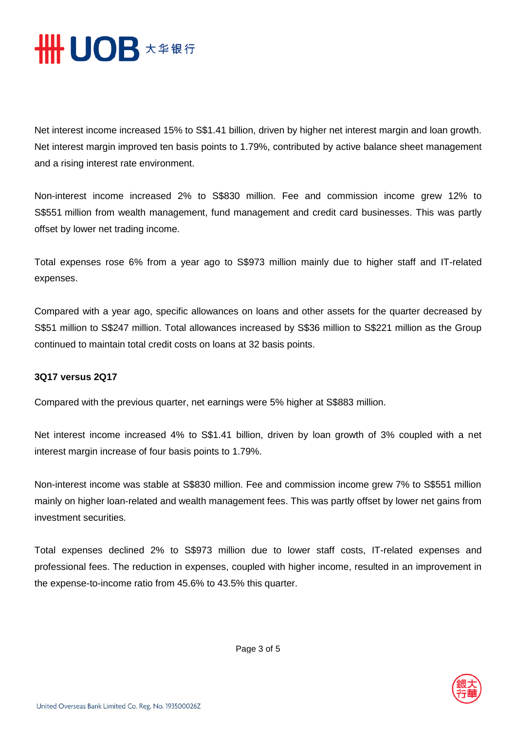

Net interest income increased 15% to S\$1.41 billion, driven by higher net interest margin and loan growth. Net interest margin improved ten basis points to 1.79%, contributed by active balance sheet management and a rising interest rate environment.

Non-interest income increased 2% to S\$830 million. Fee and commission income grew 12% to S\$551 million from wealth management, fund management and credit card businesses. This was partly offset by lower net trading income.

Total expenses rose 6% from a year ago to S\$973 million mainly due to higher staff and IT-related expenses.

Compared with a year ago, specific allowances on loans and other assets for the quarter decreased by S\$51 million to S\$247 million. Total allowances increased by S\$36 million to S\$221 million as the Group continued to maintain total credit costs on loans at 32 basis points.

#### **3Q17 versus 2Q17**

Compared with the previous quarter, net earnings were 5% higher at S\$883 million.

Net interest income increased 4% to S\$1.41 billion, driven by loan growth of 3% coupled with a net interest margin increase of four basis points to 1.79%.

Non-interest income was stable at S\$830 million. Fee and commission income grew 7% to S\$551 million mainly on higher loan-related and wealth management fees. This was partly offset by lower net gains from investment securities.

Total expenses declined 2% to S\$973 million due to lower staff costs, IT-related expenses and professional fees. The reduction in expenses, coupled with higher income, resulted in an improvement in the expense-to-income ratio from 45.6% to 43.5% this quarter.

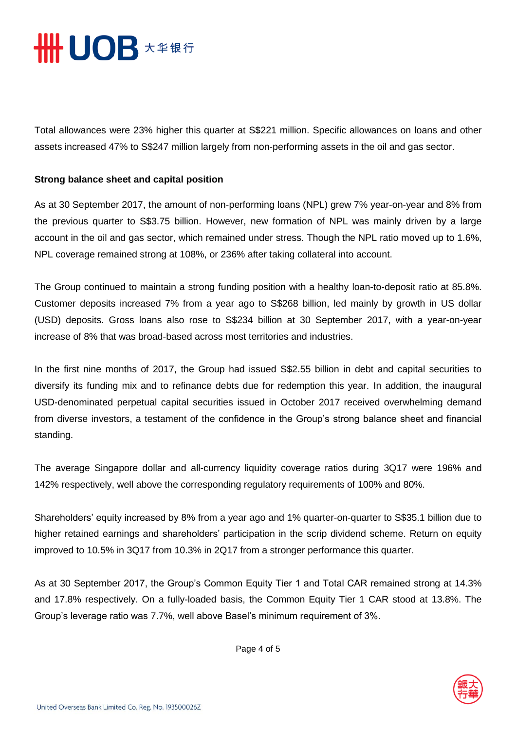

Total allowances were 23% higher this quarter at S\$221 million. Specific allowances on loans and other assets increased 47% to S\$247 million largely from non-performing assets in the oil and gas sector.

#### **Strong balance sheet and capital position**

As at 30 September 2017, the amount of non-performing loans (NPL) grew 7% year-on-year and 8% from the previous quarter to S\$3.75 billion. However, new formation of NPL was mainly driven by a large account in the oil and gas sector, which remained under stress. Though the NPL ratio moved up to 1.6%, NPL coverage remained strong at 108%, or 236% after taking collateral into account.

The Group continued to maintain a strong funding position with a healthy loan-to-deposit ratio at 85.8%. Customer deposits increased 7% from a year ago to S\$268 billion, led mainly by growth in US dollar (USD) deposits. Gross loans also rose to S\$234 billion at 30 September 2017, with a year-on-year increase of 8% that was broad-based across most territories and industries.

In the first nine months of 2017, the Group had issued S\$2.55 billion in debt and capital securities to diversify its funding mix and to refinance debts due for redemption this year. In addition, the inaugural USD-denominated perpetual capital securities issued in October 2017 received overwhelming demand from diverse investors, a testament of the confidence in the Group's strong balance sheet and financial standing.

The average Singapore dollar and all-currency liquidity coverage ratios during 3Q17 were 196% and 142% respectively, well above the corresponding regulatory requirements of 100% and 80%.

Shareholders' equity increased by 8% from a year ago and 1% quarter-on-quarter to S\$35.1 billion due to higher retained earnings and shareholders' participation in the scrip dividend scheme. Return on equity improved to 10.5% in 3Q17 from 10.3% in 2Q17 from a stronger performance this quarter.

As at 30 September 2017, the Group's Common Equity Tier 1 and Total CAR remained strong at 14.3% and 17.8% respectively. On a fully-loaded basis, the Common Equity Tier 1 CAR stood at 13.8%. The Group's leverage ratio was 7.7%, well above Basel's minimum requirement of 3%.

Page 4 of 5